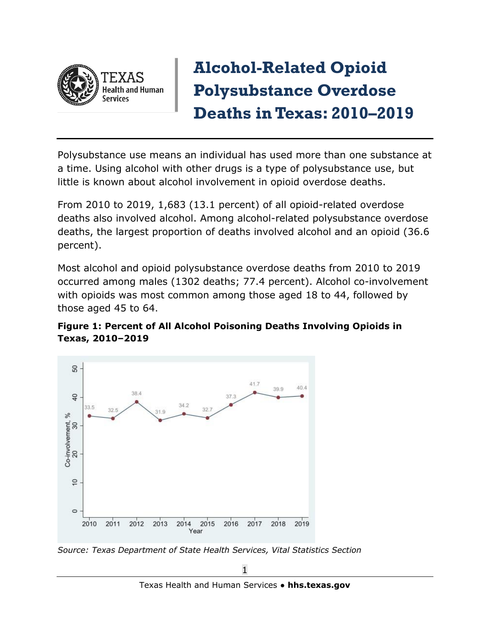

## **Alcohol-Related Opioid Polysubstance Overdose Deaths in Texas: 2010–2019**

Polysubstance use means an individual has used more than one substance at a time. Using alcohol with other drugs is a type of polysubstance use, but little is known about alcohol involvement in opioid overdose deaths.

From 2010 to 2019, 1,683 (13.1 percent) of all opioid-related overdose deaths also involved alcohol. Among alcohol-related polysubstance overdose deaths, the largest proportion of deaths involved alcohol and an opioid (36.6 percent).

Most alcohol and opioid polysubstance overdose deaths from 2010 to 2019 occurred among males (1302 deaths; 77.4 percent). Alcohol co-involvement with opioids was most common among those aged 18 to 44, followed by those aged 45 to 64.





*Source: Texas Department of State Health Services, Vital Statistics Section*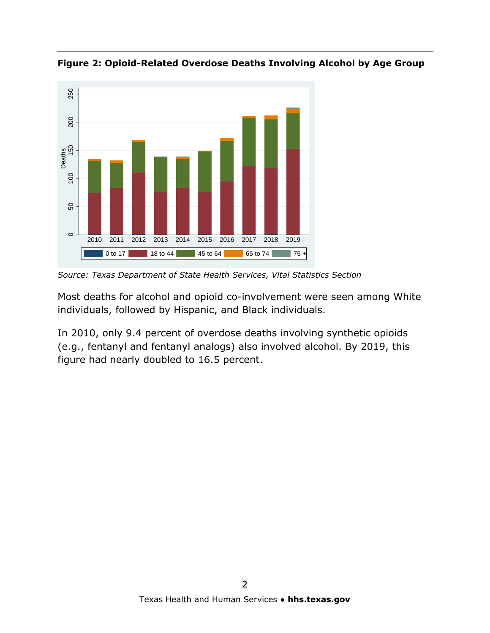

**Figure 2: Opioid-Related Overdose Deaths Involving Alcohol by Age Group**

*Source: Texas Department of State Health Services, Vital Statistics Section*

Most deaths for alcohol and opioid co-involvement were seen among White individuals, followed by Hispanic, and Black individuals.

In 2010, only 9.4 percent of overdose deaths involving synthetic opioids (e.g., fentanyl and fentanyl analogs) also involved alcohol. By 2019, this figure had nearly doubled to 16.5 percent.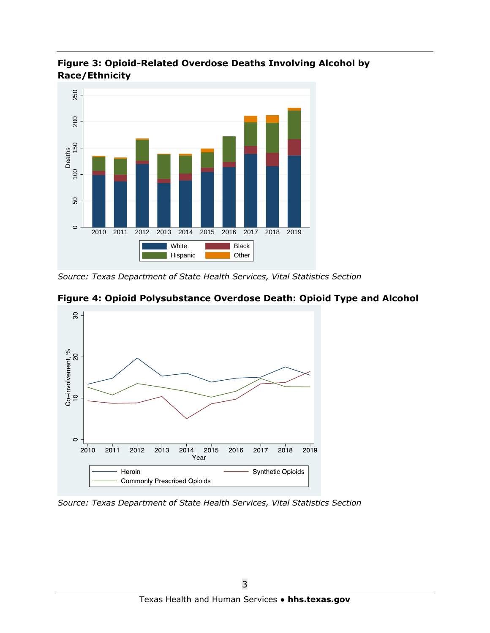

**Figure 3: Opioid-Related Overdose Deaths Involving Alcohol by Race/Ethnicity**

**Figure 4: Opioid Polysubstance Overdose Death: Opioid Type and Alcohol**



*Source: Texas Department of State Health Services, Vital Statistics Section*

*Source: Texas Department of State Health Services, Vital Statistics Section*